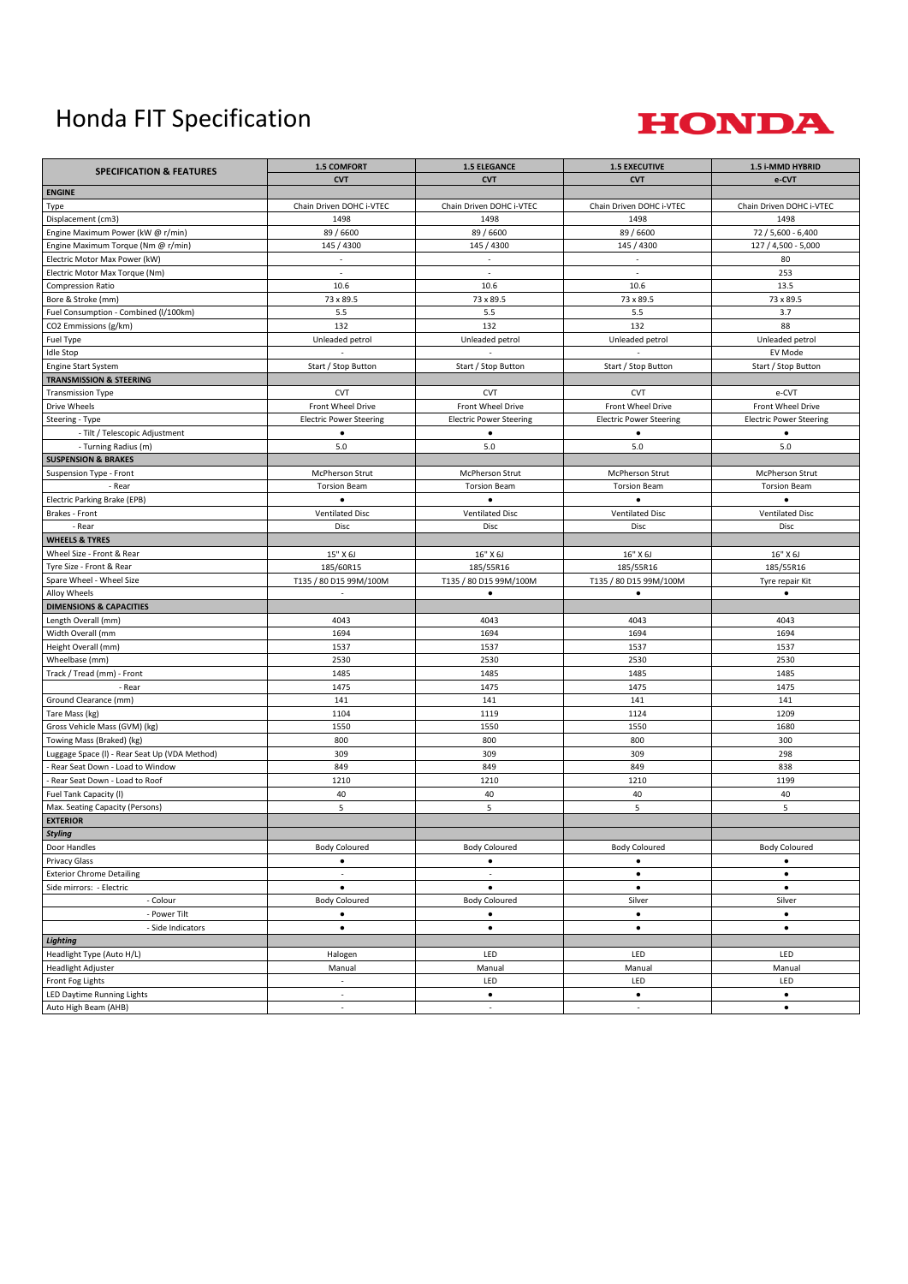## Honda FIT Specification



| <b>SPECIFICATION &amp; FEATURES</b>           | <b>1.5 COMFORT</b>             | <b>1.5 ELEGANCE</b>            | <b>1.5 EXECUTIVE</b>           | 1.5 i-MMD HYBRID               |
|-----------------------------------------------|--------------------------------|--------------------------------|--------------------------------|--------------------------------|
|                                               | <b>CVT</b>                     | <b>CVT</b>                     | <b>CVT</b>                     | e-CVT                          |
| <b>ENGINE</b>                                 |                                |                                |                                |                                |
| Type                                          | Chain Driven DOHC i-VTEC       | Chain Driven DOHC i-VTEC       | Chain Driven DOHC i-VTEC       | Chain Driven DOHC i-VTEC       |
| Displacement (cm3)                            | 1498                           | 1498                           | 1498                           | 1498                           |
| Engine Maximum Power (kW @ r/min)             | 89 / 6600                      | 89 / 6600                      | 89 / 6600                      | 72 / 5,600 - 6,400             |
| Engine Maximum Torque (Nm @ r/min)            | 145 / 4300                     | 145 / 4300                     | 145 / 4300                     | 127 / 4,500 - 5,000            |
| Electric Motor Max Power (kW)                 | $\mathcal{L}$                  | $\omega$                       | $\sim$                         | 80                             |
| Electric Motor Max Torque (Nm)                | ٠                              | $\sim$                         | $\sim$                         | 253                            |
| Compression Ratio                             | 10.6                           | 10.6                           | 10.6                           | 13.5                           |
| Bore & Stroke (mm)                            | 73 x 89.5                      | 73 x 89.5                      | 73 x 89.5                      | 73 x 89.5                      |
| Fuel Consumption - Combined (I/100km)         | 5.5                            | 5.5                            | 5.5                            | 3.7                            |
| CO2 Emmissions (g/km)                         | 132                            | 132                            | 132                            | 88                             |
| Fuel Type                                     | Unleaded petrol                | Unleaded petrol                | Unleaded petrol                | Unleaded petrol                |
| <b>Idle Stop</b>                              |                                |                                |                                | EV Mode                        |
| Engine Start System                           | Start / Stop Button            | Start / Stop Button            | Start / Stop Button            | Start / Stop Button            |
| <b>TRANSMISSION &amp; STEERING</b>            |                                |                                |                                |                                |
| <b>Transmission Type</b>                      | <b>CVT</b>                     | <b>CVT</b>                     | <b>CVT</b>                     | e-CVT                          |
| Drive Wheels                                  | Front Wheel Drive              | Front Wheel Drive              | Front Wheel Drive              | Front Wheel Drive              |
| Steering - Type                               | <b>Electric Power Steering</b> | <b>Electric Power Steering</b> | <b>Electric Power Steering</b> | <b>Electric Power Steering</b> |
| - Tilt / Telescopic Adjustment                | $\bullet$                      | $\bullet$                      | $\bullet$                      | $\bullet$                      |
| - Turning Radius (m)                          | 5.0                            | 5.0                            | 5.0                            | 5.0                            |
| <b>SUSPENSION &amp; BRAKES</b>                |                                |                                |                                |                                |
| Suspension Type - Front                       | McPherson Strut                | McPherson Strut                | McPherson Strut                | McPherson Strut                |
| - Rear                                        | <b>Torsion Beam</b>            | <b>Torsion Beam</b>            | <b>Torsion Beam</b>            | <b>Torsion Beam</b>            |
| Electric Parking Brake (EPB)                  | $\bullet$                      | $\bullet$                      | $\bullet$                      | $\bullet$                      |
| Brakes - Front                                | <b>Ventilated Disc</b>         | <b>Ventilated Disc</b>         | <b>Ventilated Disc</b>         | <b>Ventilated Disc</b>         |
| - Rear                                        | Disc                           | Disc                           | Disc                           | Disc                           |
| <b>WHEELS &amp; TYRES</b>                     |                                |                                |                                |                                |
| Wheel Size - Front & Rear                     | 15" X 6J                       | 16" X 6J                       | 16" X 6J                       | 16" X 6J                       |
| Tyre Size - Front & Rear                      | 185/60R15                      | 185/55R16                      | 185/55R16                      | 185/55R16                      |
| Spare Wheel - Wheel Size                      | T135 / 80 D15 99M/100M         | T135 / 80 D15 99M/100M         | T135 / 80 D15 99M/100M         | Tyre repair Kit                |
| Alloy Wheels                                  | $\sim$                         | $\bullet$                      | $\bullet$                      | $\bullet$                      |
| <b>DIMENSIONS &amp; CAPACITIES</b>            |                                |                                |                                |                                |
| Length Overall (mm)                           | 4043                           | 4043                           | 4043                           | 4043                           |
| Width Overall (mm                             | 1694                           | 1694                           | 1694                           | 1694                           |
| Height Overall (mm)                           | 1537                           | 1537                           | 1537                           | 1537                           |
| Wheelbase (mm)                                | 2530                           | 2530                           | 2530                           | 2530                           |
| Track / Tread (mm) - Front                    | 1485                           | 1485                           | 1485                           | 1485                           |
| - Rear                                        | 1475                           | 1475                           | 1475                           | 1475                           |
| Ground Clearance (mm)                         | 141                            | 141                            | 141                            | 141                            |
| Tare Mass (kg)                                | 1104                           | 1119                           | 1124                           | 1209                           |
| Gross Vehicle Mass (GVM) (kg)                 | 1550                           | 1550                           | 1550                           | 1680                           |
| Towing Mass (Braked) (kg)                     | 800                            | 800                            | 800                            | 300                            |
| Luggage Space (I) - Rear Seat Up (VDA Method) | 309                            | 309                            | 309                            | 298                            |
| Rear Seat Down - Load to Window               | 849                            | 849                            | 849                            | 838                            |
| Rear Seat Down - Load to Roof                 | 1210                           | 1210                           | 1210                           | 1199                           |
| Fuel Tank Capacity (I)                        | 40                             | 40                             | 40                             | 40                             |
| Max. Seating Capacity (Persons)               | 5                              | 5                              | 5                              | 5                              |
| <b>EXTERIOR</b>                               |                                |                                |                                |                                |
| <b>Styling</b>                                |                                |                                |                                |                                |
| Door Handles                                  | <b>Body Coloured</b>           | <b>Body Coloured</b>           | <b>Body Coloured</b>           | <b>Body Coloured</b>           |
| <b>Privacy Glass</b>                          | $\bullet$                      | $\bullet$                      | ٠                              | $\bullet$                      |
| <b>Exterior Chrome Detailing</b>              | $\sim$                         | $\overline{\phantom{a}}$       | $\bullet$                      | $\bullet$                      |
| Side mirrors: - Electric                      | $\bullet$                      | $\bullet$                      | $\bullet$                      | $\bullet$                      |
| - Colour                                      | <b>Body Coloured</b>           | <b>Body Coloured</b>           | Silver                         | Silver                         |
| - Power Tilt                                  | $\bullet$                      | $\bullet$                      | $\bullet$                      | $\bullet$                      |
| - Side Indicators                             | $\bullet$                      | $\bullet$                      | $\bullet$                      | $\bullet$                      |
| Lighting                                      |                                |                                |                                |                                |
| Headlight Type (Auto H/L)                     | Halogen                        | LED                            | LED                            | LED                            |
| Headlight Adjuster                            | Manual                         | Manual                         | Manual                         | Manual                         |
| Front Fog Lights                              | $\overline{\phantom{a}}$       | LED                            | LED                            | LED                            |
| LED Daytime Running Lights                    | ×,                             | $\bullet$                      | $\bullet$                      | $\bullet$                      |
| Auto High Beam (AHB)                          | $\overline{\phantom{a}}$       | ä,                             | $\bar{\phantom{a}}$            | $\bullet$                      |